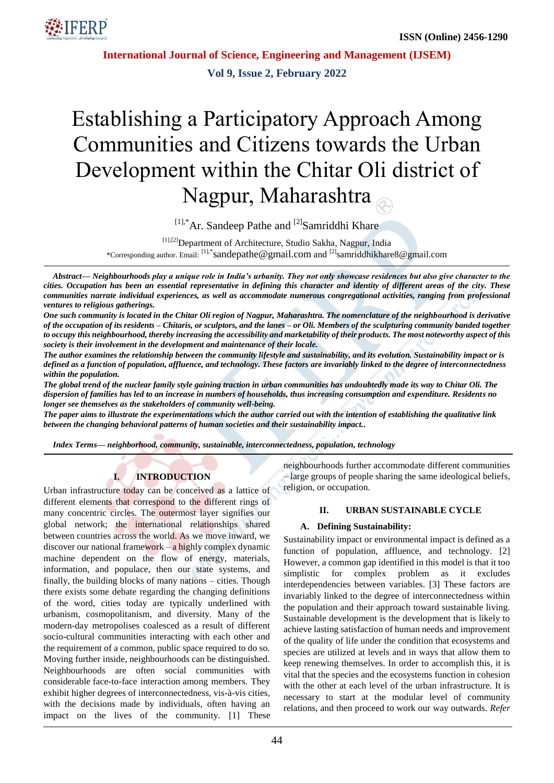

**Vol 9, Issue 2, February 2022**

# Establishing a Participatory Approach Among Communities and Citizens towards the Urban Development within the Chitar Oli district of Nagpur, Maharashtra

 $^{[1],*}$ Ar. Sandeep Pathe and  $^{[2]}$ Samriddhi Khare

[1],[2] Department of Architecture, Studio Sakha, Nagpur, India

\*Corresponding author. Email: [1],\*[sandepathe@gmail.com](mailto:sandepathe@gmail.com) and [2]samriddhikhare8@gmail.com

*Abstract— Neighbourhoods play a unique role in India's urbanity. They not only showcase residences but also give character to the cities. Occupation has been an essential representative in defining this character and identity of different areas of the city. These communities narrate individual experiences, as well as accommodate numerous congregational activities, ranging from professional ventures to religious gatherings.*

*One such community is located in the Chitar Oli region of Nagpur, Maharashtra. The nomenclature of the neighbourhood is derivative of the occupation of its residents – Chitaris, or sculptors, and the lanes – or Oli. Members of the sculpturing community banded together to occupy this neighbourhood, thereby increasing the accessibility and marketability of their products. The most noteworthy aspect of this society is their involvement in the development and maintenance of their locale.* 

*The author examines the relationship between the community lifestyle and sustainability, and its evolution. Sustainability impact or is defined as a function of population, affluence, and technology. These factors are invariably linked to the degree of interconnectedness within the population.* 

*The global trend of the nuclear family style gaining traction in urban communities has undoubtedly made its way to Chitar Oli. The dispersion of families has led to an increase in numbers of households, thus increasing consumption and expenditure. Residents no longer see themselves as the stakeholders of community well-being.* 

*The paper aims to illustrate the experimentations which the author carried out with the intention of establishing the qualitative link between the changing behavioral patterns of human societies and their sustainability impact..*

*Index Terms— neighborhood, community, sustainable, interconnectedness, population, technology*

# **I. INTRODUCTION**

Urban infrastructure today can be conceived as a lattice of different elements that correspond to the different rings of many concentric circles. The outermost layer signifies our global network; the international relationships shared between countries across the world. As we move inward, we discover our national framework – a highly complex dynamic machine dependent on the flow of energy, materials, information, and populace, then our state systems, and finally, the building blocks of many nations – cities. Though there exists some debate regarding the changing definitions of the word, cities today are typically underlined with urbanism, cosmopolitanism, and diversity. Many of the modern-day metropolises coalesced as a result of different socio-cultural communities interacting with each other and the requirement of a common, public space required to do so. Moving further inside, neighbourhoods can be distinguished. Neighbourhoods are often social communities with considerable face-to-face interaction among members. They exhibit higher degrees of interconnectedness, vis-à-vis cities, with the decisions made by individuals, often having an impact on the lives of the community. [1] These neighbourhoods further accommodate different communities – large groups of people sharing the same ideological beliefs, religion, or occupation.

#### **II. URBAN SUSTAINABLE CYCLE**

## **A. Defining Sustainability:**

Sustainability impact or environmental impact is defined as a function of population, affluence, and technology. [2] However, a common gap identified in this model is that it too simplistic for complex problem as it excludes interdependencies between variables. [3] These factors are invariably linked to the degree of interconnectedness within the population and their approach toward sustainable living. Sustainable development is the development that is likely to achieve lasting satisfaction of human needs and improvement of the quality of life under the condition that ecosystems and species are utilized at levels and in ways that allow them to keep renewing themselves. In order to accomplish this, it is vital that the species and the ecosystems function in cohesion with the other at each level of the urban infrastructure. It is necessary to start at the modular level of community relations, and then proceed to work our way outwards. *Refer*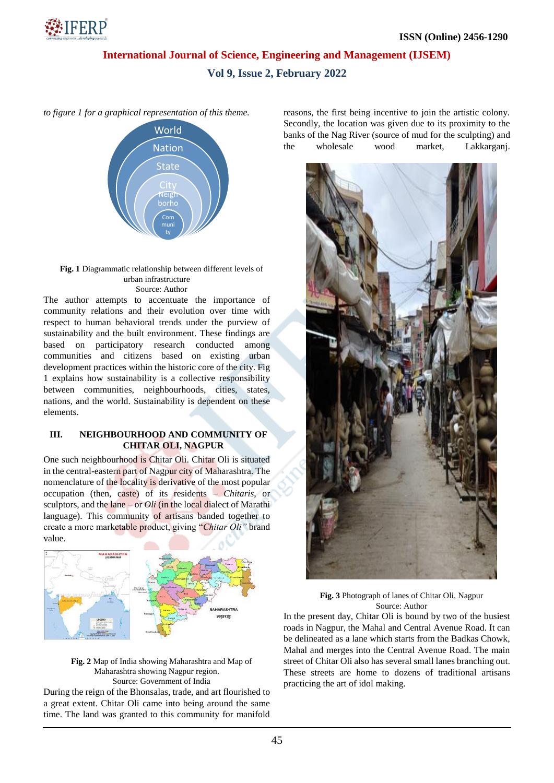

## **Vol 9, Issue 2, February 2022**

*to figure 1 for a graphical representation of this theme.* 



#### **Fig. 1** Diagrammatic relationship between different levels of urban infrastructure Source: Author

The author attempts to accentuate the importance of community relations and their evolution over time with respect to human behavioral trends under the purview of sustainability and the built environment. These findings are based on participatory research conducted among communities and citizens based on existing urban development practices within the historic core of the city. Fig 1 explains how sustainability is a collective responsibility between communities, neighbourhoods, cities, states, nations, and the world. Sustainability is dependent on these elements.

## **III. NEIGHBOURHOOD AND COMMUNITY OF CHITAR OLI, NAGPUR**

One such neighbourhood is Chitar Oli. Chitar Oli is situated in the central-eastern part of Nagpur city of Maharashtra. The nomenclature of the locality is derivative of the most popular occupation (then, caste) of its residents – *Chitaris*, or sculptors, and the lane – or *Oli* (in the local dialect of Marathi language). This community of artisans banded together to create a more marketable product, giving "*Chitar Oli"* brand value.



**Fig. 2** Map of India showing Maharashtra and Map of Maharashtra showing Nagpur region. Source: Government of India

During the reign of the Bhonsalas, trade, and art flourished to a great extent. Chitar Oli came into being around the same time. The land was granted to this community for manifold reasons, the first being incentive to join the artistic colony. Secondly, the location was given due to its proximity to the banks of the Nag River (source of mud for the sculpting) and the wholesale wood market, Lakkarganj.



**Fig. 3** Photograph of lanes of Chitar Oli, Nagpur Source: Author

In the present day, Chitar Oli is bound by two of the busiest roads in Nagpur, the Mahal and Central Avenue Road. It can be delineated as a lane which starts from the Badkas Chowk, Mahal and merges into the Central Avenue Road. The main street of Chitar Oli also has several small lanes branching out. These streets are home to dozens of traditional artisans practicing the art of idol making.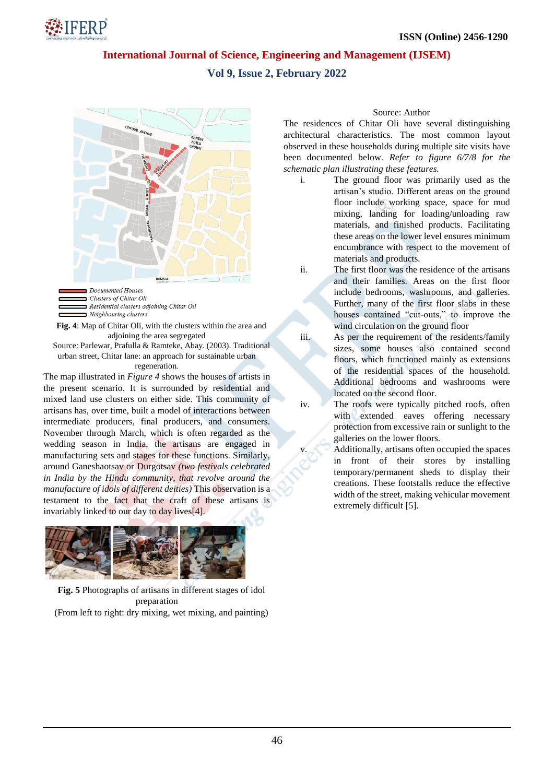# NFERP!

## **International Journal of Science, Engineering and Management (IJSEM)**

# **Vol 9, Issue 2, February 2022**



Neighbouring clusters **Fig. 4**: Map of Chitar Oli, with the clusters within the area and

adjoining the area segregated

Source: Parlewar, Prafulla & Ramteke, Abay. (2003). Traditional urban street, Chitar lane: an approach for sustainable urban regeneration.

The map illustrated in *Figure 4* shows the houses of artists in the present scenario. It is surrounded by residential and mixed land use clusters on either side. This community of artisans has, over time, built a model of interactions between intermediate producers, final producers, and consumers. November through March, which is often regarded as the wedding season in India, the artisans are engaged in manufacturing sets and stages for these functions. Similarly, around Ganeshaotsav or Durgotsav *(two festivals celebrated in India by the Hindu community, that revolve around the manufacture of idols of different deities)* This observation is a testament to the fact that the craft of these artisans is invariably linked to our day to day lives[4].



**Fig. 5** Photographs of artisans in different stages of idol preparation (From left to right: dry mixing, wet mixing, and painting)

## Source: Author

The residences of Chitar Oli have several distinguishing architectural characteristics. The most common layout observed in these households during multiple site visits have been documented below. *Refer to figure 6/7/8 for the schematic plan illustrating these features.* 

- i. The ground floor was primarily used as the artisan's studio. Different areas on the ground floor include working space, space for mud mixing, landing for loading/unloading raw materials, and finished products. Facilitating these areas on the lower level ensures minimum encumbrance with respect to the movement of materials and products.
- ii. The first floor was the residence of the artisans and their families. Areas on the first floor include bedrooms, washrooms, and galleries. Further, many of the first floor slabs in these houses contained "cut-outs," to improve the wind circulation on the ground floor
- iii. As per the requirement of the residents/family sizes, some houses also contained second floors, which functioned mainly as extensions of the residential spaces of the household. Additional bedrooms and washrooms were located on the second floor.

iv. The roofs were typically pitched roofs, often with extended eaves offering necessary protection from excessive rain or sunlight to the galleries on the lower floors.

Additionally, artisans often occupied the spaces in front of their stores by installing temporary/permanent sheds to display their creations. These footstalls reduce the effective width of the street, making vehicular movement extremely difficult [5].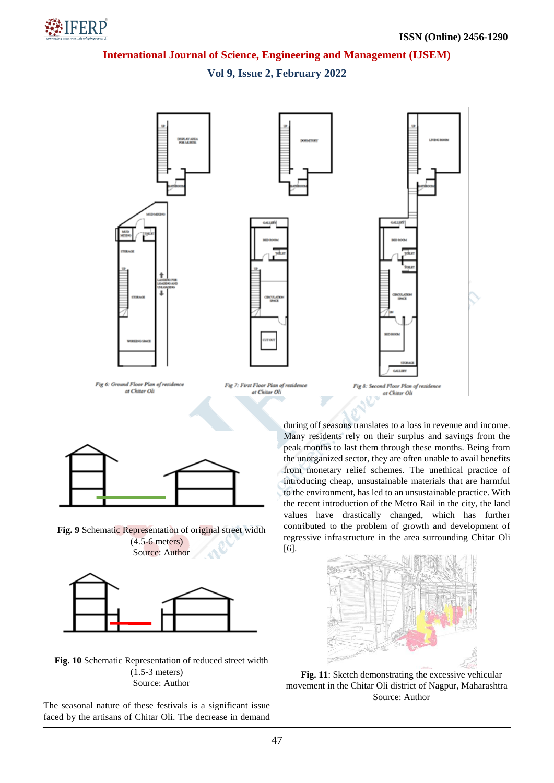# **NEERP**

# **International Journal of Science, Engineering and Management (IJSEM)**

**Vol 9, Issue 2, February 2022**





**Fig. 9** Schematic Representation of original street width (4.5-6 meters) Source: Author



**Fig. 10** Schematic Representation of reduced street width (1.5-3 meters) Source: Author

The seasonal nature of these festivals is a significant issue faced by the artisans of Chitar Oli. The decrease in demand during off seasons translates to a loss in revenue and income. Many residents rely on their surplus and savings from the peak months to last them through these months. Being from the unorganized sector, they are often unable to avail benefits from monetary relief schemes. The unethical practice of introducing cheap, unsustainable materials that are harmful to the environment, has led to an unsustainable practice. With the recent introduction of the Metro Rail in the city, the land values have drastically changed, which has further contributed to the problem of growth and development of regressive infrastructure in the area surrounding Chitar Oli [6].



**Fig. 11**: Sketch demonstrating the excessive vehicular movement in the Chitar Oli district of Nagpur, Maharashtra Source: Author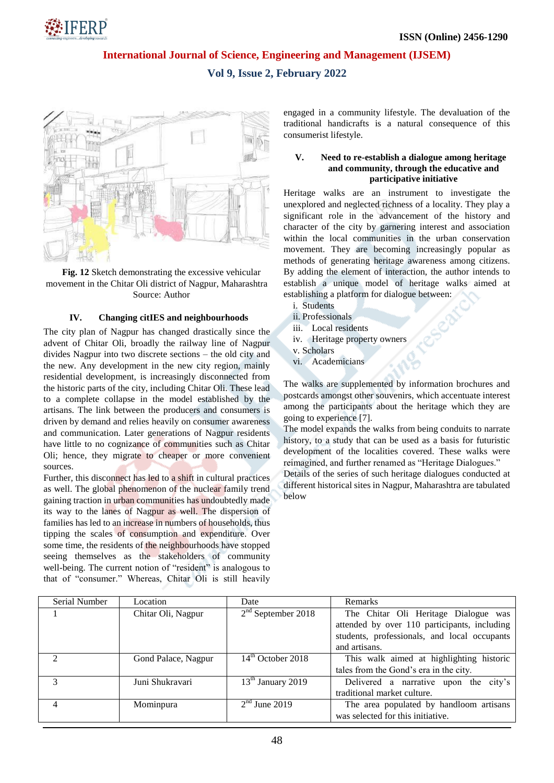

## **Vol 9, Issue 2, February 2022**



**Fig. 12** Sketch demonstrating the excessive vehicular movement in the Chitar Oli district of Nagpur, Maharashtra Source: Author

### **IV. Changing citIES and neighbourhoods**

The city plan of Nagpur has changed drastically since the advent of Chitar Oli, broadly the railway line of Nagpur divides Nagpur into two discrete sections – the old city and the new. Any development in the new city region, mainly residential development, is increasingly disconnected from the historic parts of the city, including Chitar Oli. These lead to a complete collapse in the model established by the artisans. The link between the producers and consumers is driven by demand and relies heavily on consumer awareness and communication. Later generations of Nagpur residents have little to no cognizance of communities such as Chitar Oli; hence, they migrate to cheaper or more convenient sources.

Further, this disconnect has led to a shift in cultural practices as well. The global phenomenon of the nuclear family trend gaining traction in urban communities has undoubtedly made its way to the lanes of Nagpur as well. The dispersion of families has led to an increase in numbers of households, thus tipping the scales of consumption and expenditure. Over some time, the residents of the neighbourhoods have stopped seeing themselves as the stakeholders of community well-being. The current notion of "resident" is analogous to that of "consumer." Whereas, Chitar Oli is still heavily engaged in a community lifestyle. The devaluation of the traditional handicrafts is a natural consequence of this consumerist lifestyle.

#### **V. Need to re-establish a dialogue among heritage and community, through the educative and participative initiative**

Heritage walks are an instrument to investigate the unexplored and neglected richness of a locality. They play a significant role in the advancement of the history and character of the city by garnering interest and association within the local communities in the urban conservation movement. They are becoming increasingly popular as methods of generating heritage awareness among citizens. By adding the element of interaction, the author intends to establish a unique model of heritage walks aimed at establishing a platform for dialogue between:

- i. Students
- ii. Professionals
- iii. Local residents
- iv. Heritage property owners
- v. Scholars
- vi. Academicians

The walks are supplemented by information brochures and postcards amongst other souvenirs, which accentuate interest among the participants about the heritage which they are going to experience [7].

The model expands the walks from being conduits to narrate history, to a study that can be used as a basis for futuristic development of the localities covered. These walks were reimagined, and further renamed as "Heritage Dialogues."

Details of the series of such heritage dialogues conducted at different historical sites in Nagpur, Maharashtra are tabulated below

| Serial Number | Location            | Date                          | <b>Remarks</b>                               |
|---------------|---------------------|-------------------------------|----------------------------------------------|
|               | Chitar Oli, Nagpur  | $2nd$ September 2018          | The Chitar Oli Heritage Dialogue was         |
|               |                     |                               | attended by over 110 participants, including |
|               |                     |                               | students, professionals, and local occupants |
|               |                     |                               | and artisans.                                |
| $\mathcal{D}$ | Gond Palace, Nagpur | $14th$ October 2018           | This walk aimed at highlighting historic     |
|               |                     |                               | tales from the Gond's era in the city.       |
|               | Juni Shukravari     | 13 <sup>th</sup> January 2019 | Delivered a narrative upon the city's        |
|               |                     |                               | traditional market culture.                  |
| 4             | Mominpura           | $2nd$ June 2019               | The area populated by handloom artisans      |
|               |                     |                               | was selected for this initiative.            |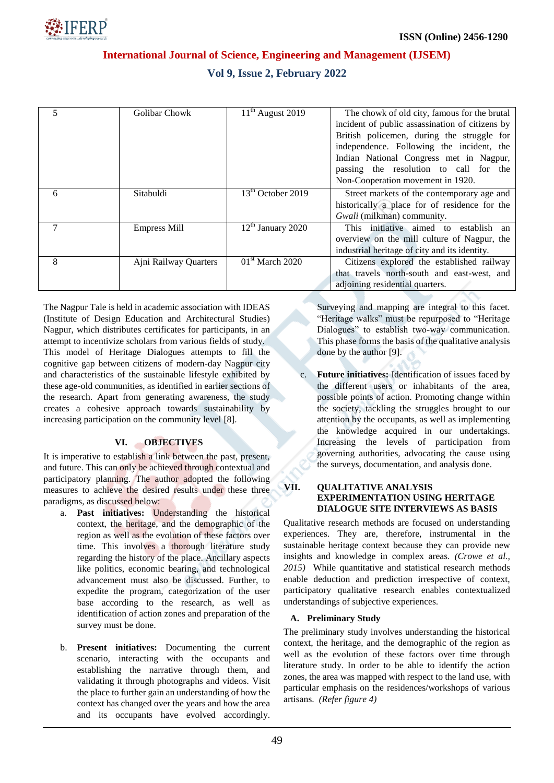

## **Vol 9, Issue 2, February 2022**

|   | Golibar Chowk         | $11th$ August 2019  | The chowk of old city, famous for the brutal    |
|---|-----------------------|---------------------|-------------------------------------------------|
|   |                       |                     | incident of public assassination of citizens by |
|   |                       |                     | British policemen, during the struggle for      |
|   |                       |                     | independence. Following the incident, the       |
|   |                       |                     | Indian National Congress met in Nagpur,         |
|   |                       |                     | passing the resolution to call for the          |
|   |                       |                     | Non-Cooperation movement in 1920.               |
| 6 | Sitabuldi             | $13th$ October 2019 | Street markets of the contemporary age and      |
|   |                       |                     | historically a place for of residence for the   |
|   |                       |                     | Gwali (milkman) community.                      |
|   | <b>Empress Mill</b>   | $12th$ January 2020 | This initiative aimed to establish<br>an        |
|   |                       |                     | overview on the mill culture of Nagpur, the     |
|   |                       |                     | industrial heritage of city and its identity.   |
| 8 | Ajni Railway Quarters | $01st$ March 2020   | Citizens explored the established railway       |
|   |                       |                     | that travels north-south and east-west, and     |
|   |                       |                     | adjoining residential quarters.                 |

The Nagpur Tale is held in academic association with IDEAS (Institute of Design Education and Architectural Studies) Nagpur, which distributes certificates for participants, in an attempt to incentivize scholars from various fields of study. This model of Heritage Dialogues attempts to fill the cognitive gap between citizens of modern-day Nagpur city and characteristics of the sustainable lifestyle exhibited by these age-old communities, as identified in earlier sections of the research. Apart from generating awareness, the study creates a cohesive approach towards sustainability by increasing participation on the community level [8].

## **VI. OBJECTIVES**

It is imperative to establish a link between the past, present, and future. This can only be achieved through contextual and participatory planning. The author adopted the following measures to achieve the desired results under these three paradigms, as discussed below:

- a. **Past initiatives:** Understanding the historical context, the heritage, and the demographic of the region as well as the evolution of these factors over time. This involves a thorough literature study regarding the history of the place. Ancillary aspects like politics, economic bearing, and technological advancement must also be discussed. Further, to expedite the program, categorization of the user base according to the research, as well as identification of action zones and preparation of the survey must be done.
- b. **Present initiatives:** Documenting the current scenario, interacting with the occupants and establishing the narrative through them, and validating it through photographs and videos. Visit the place to further gain an understanding of how the context has changed over the years and how the area and its occupants have evolved accordingly.

Surveying and mapping are integral to this facet. "Heritage walks" must be repurposed to "Heritage Dialogues" to establish two-way communication. This phase forms the basis of the qualitative analysis done by the author [9].

c. **Future initiatives:** Identification of issues faced by the different users or inhabitants of the area, possible points of action. Promoting change within the society, tackling the struggles brought to our attention by the occupants, as well as implementing the knowledge acquired in our undertakings. Increasing the levels of participation from governing authorities, advocating the cause using the surveys, documentation, and analysis done.

#### **VII. QUALITATIVE ANALYSIS EXPERIMENTATION USING HERITAGE DIALOGUE SITE INTERVIEWS AS BASIS**

Qualitative research methods are focused on understanding experiences. They are, therefore, instrumental in the sustainable heritage context because they can provide new insights and knowledge in complex areas. *(Crowe et al., 2015)* While quantitative and statistical research methods enable deduction and prediction irrespective of context, participatory qualitative research enables contextualized understandings of subjective experiences.

## **A. Preliminary Study**

The preliminary study involves understanding the historical context, the heritage, and the demographic of the region as well as the evolution of these factors over time through literature study. In order to be able to identify the action zones, the area was mapped with respect to the land use, with particular emphasis on the residences/workshops of various artisans. *(Refer figure 4)*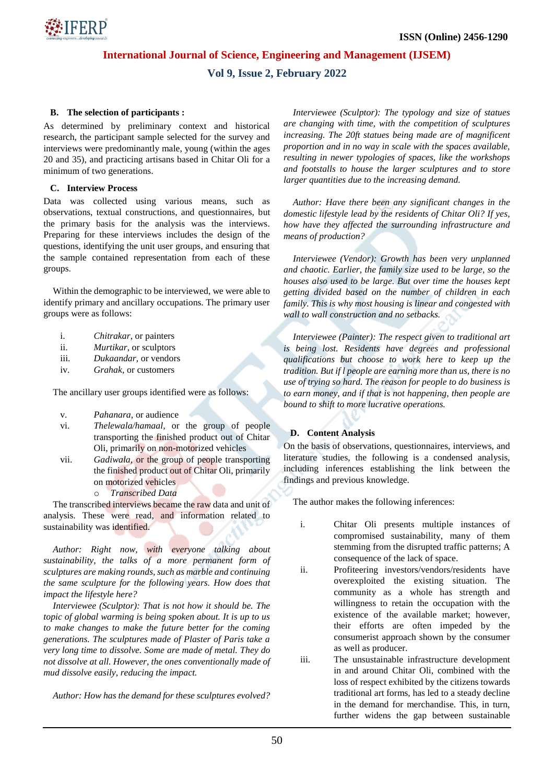

# **Vol 9, Issue 2, February 2022**

## **B. The selection of participants :**

As determined by preliminary context and historical research, the participant sample selected for the survey and interviews were predominantly male, young (within the ages 20 and 35), and practicing artisans based in Chitar Oli for a minimum of two generations.

### **C. Interview Process**

Data was collected using various means, such as observations, textual constructions, and questionnaires, but the primary basis for the analysis was the interviews. Preparing for these interviews includes the design of the questions, identifying the unit user groups, and ensuring that the sample contained representation from each of these groups.

Within the demographic to be interviewed, we were able to identify primary and ancillary occupations. The primary user groups were as follows:

- i. *Chitrakar*, or painters
- ii. *Murtikar*, or sculptors
- iii. *Dukaandar,* or vendors
- iv. *Grahak,* or customers

The ancillary user groups identified were as follows:

- v. *Pahanara,* or audience
- vi. *Thelewala/hamaal*, or the group of people transporting the finished product out of Chitar Oli, primarily on non-motorized vehicles
- vii. *Gadiwala,* or the group of people transporting the finished product out of Chitar Oli, primarily on motorized vehicles
	- o *Transcribed Data*

The transcribed interviews became the raw data and unit of analysis. These were read, and information related to sustainability was identified.

*Author: Right now, with everyone talking about sustainability, the talks of a more permanent form of sculptures are making rounds, such as marble and continuing the same sculpture for the following years. How does that impact the lifestyle here?*

*Interviewee (Sculptor): That is not how it should be. The topic of global warming is being spoken about. It is up to us to make changes to make the future better for the coming generations. The sculptures made of Plaster of Paris take a very long time to dissolve. Some are made of metal. They do not dissolve at all. However, the ones conventionally made of mud dissolve easily, reducing the impact.*

*Author: How has the demand for these sculptures evolved?* 

*Interviewee (Sculptor): The typology and size of statues are changing with time, with the competition of sculptures increasing. The 20ft statues being made are of magnificent proportion and in no way in scale with the spaces available, resulting in newer typologies of spaces, like the workshops and footstalls to house the larger sculptures and to store larger quantities due to the increasing demand.*

*Author: Have there been any significant changes in the domestic lifestyle lead by the residents of Chitar Oli? If yes, how have they affected the surrounding infrastructure and means of production?* 

*Interviewee (Vendor): Growth has been very unplanned and chaotic. Earlier, the family size used to be large, so the houses also used to be large. But over time the houses kept getting divided based on the number of children in each family. This is why most housing is linear and congested with wall to wall construction and no setbacks.* 

*Interviewee (Painter): The respect given to traditional art is being lost. Residents have degrees and professional qualifications but choose to work here to keep up the tradition. But if l people are earning more than us, there is no use of trying so hard. The reason for people to do business is to earn money, and if that is not happening, then people are bound to shift to more lucrative operations.* 

## **D. Content Analysis**

On the basis of observations, questionnaires, interviews, and literature studies, the following is a condensed analysis, including inferences establishing the link between the findings and previous knowledge.

The author makes the following inferences:

- i. Chitar Oli presents multiple instances of compromised sustainability, many of them stemming from the disrupted traffic patterns; A consequence of the lack of space.
- ii. Profiteering investors/vendors/residents have overexploited the existing situation. The community as a whole has strength and willingness to retain the occupation with the existence of the available market; however, their efforts are often impeded by the consumerist approach shown by the consumer as well as producer.
- iii. The unsustainable infrastructure development in and around Chitar Oli, combined with the loss of respect exhibited by the citizens towards traditional art forms, has led to a steady decline in the demand for merchandise. This, in turn, further widens the gap between sustainable